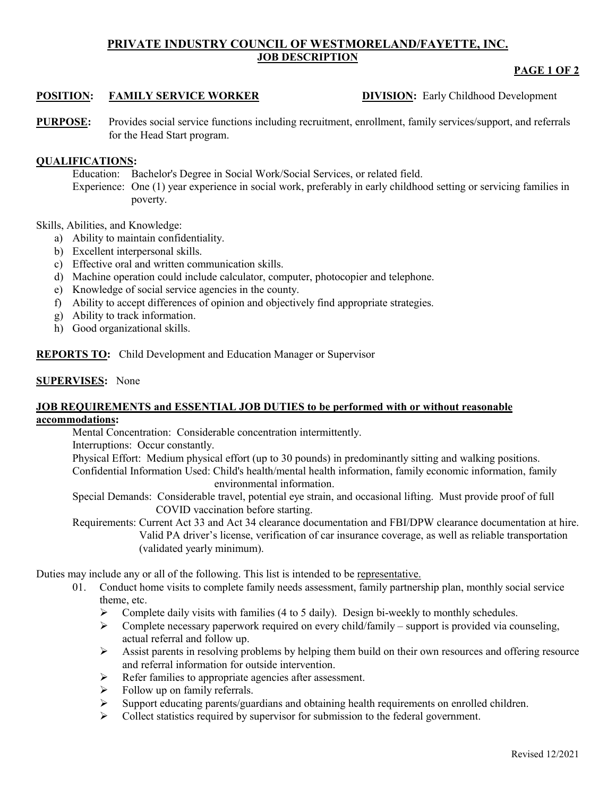# **PRIVATE INDUSTRY COUNCIL OF WESTMORELAND/FAYETTE, INC. JOB DESCRIPTION**

# **PAGE 1 OF 2**

# **POSITION: FAMILY SERVICE WORKER DIVISION:** Early Childhood Development

**PURPOSE:** Provides social service functions including recruitment, enrollment, family services/support, and referrals for the Head Start program.

# **QUALIFICATIONS:**

Education: Bachelor's Degree in Social Work/Social Services, or related field.

Experience: One (1) year experience in social work, preferably in early childhood setting or servicing families in poverty.

Skills, Abilities, and Knowledge:

- a) Ability to maintain confidentiality.
- b) Excellent interpersonal skills.
- c) Effective oral and written communication skills.
- d) Machine operation could include calculator, computer, photocopier and telephone.
- e) Knowledge of social service agencies in the county.
- f) Ability to accept differences of opinion and objectively find appropriate strategies.
- g) Ability to track information.
- h) Good organizational skills.

**REPORTS TO:** Child Development and Education Manager or Supervisor

#### **SUPERVISES:** None

#### **JOB REQUIREMENTS and ESSENTIAL JOB DUTIES to be performed with or without reasonable accommodations:**

Mental Concentration: Considerable concentration intermittently.

Interruptions: Occur constantly.

Physical Effort: Medium physical effort (up to 30 pounds) in predominantly sitting and walking positions.

Confidential Information Used: Child's health/mental health information, family economic information, family environmental information.

Special Demands: Considerable travel, potential eye strain, and occasional lifting. Must provide proof of full COVID vaccination before starting.

Requirements: Current Act 33 and Act 34 clearance documentation and FBI/DPW clearance documentation at hire. Valid PA driver's license, verification of car insurance coverage, as well as reliable transportation (validated yearly minimum).

Duties may include any or all of the following. This list is intended to be representative.

- 01. Conduct home visits to complete family needs assessment, family partnership plan, monthly social service theme, etc.
	- $\triangleright$  Complete daily visits with families (4 to 5 daily). Design bi-weekly to monthly schedules.
	- $\triangleright$  Complete necessary paperwork required on every child/family support is provided via counseling, actual referral and follow up.
	- Assist parents in resolving problems by helping them build on their own resources and offering resource and referral information for outside intervention.
	- $\triangleright$  Refer families to appropriate agencies after assessment.
	- $\triangleright$  Follow up on family referrals.
	- $\triangleright$  Support educating parents/guardians and obtaining health requirements on enrolled children.
	- $\triangleright$  Collect statistics required by supervisor for submission to the federal government.